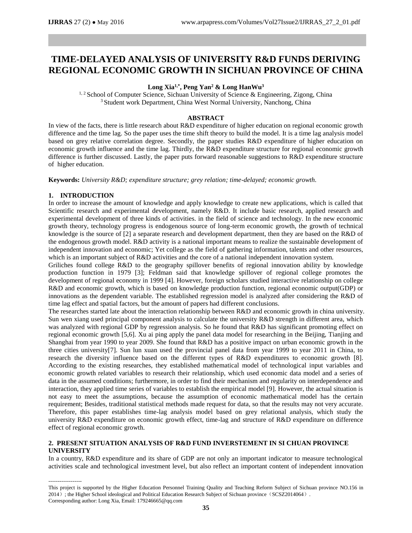# **TIME-DELAYED ANALYSIS OF UNIVERSITY R&D FUNDS DERIVING REGIONAL ECONOMIC GROWTH IN SICHUAN PROVINCE OF CHINA**

**Long Xia1,\*, Peng Yan<sup>2</sup> & Long HanWu<sup>3</sup>**

<sup>1, 2</sup> School of Computer Science, Sichuan University of Science & Engineering, Zigong, China <sup>3</sup> Student work Department, China West Normal University, Nanchong, China

# **ABSTRACT**

In view of the facts, there is little research about R&D expenditure of higher education on regional economic growth difference and the time lag. So the paper uses the time shift theory to build the model. It is a time lag analysis model based on grey relative correlation degree. Secondly, the paper studies R&D expenditure of higher education on economic growth influence and the time lag. Thirdly, the R&D expenditure structure for regional economic growth difference is further discussed. Lastly, the paper puts forward reasonable suggestions to R&D expenditure structure of higher education.

**Keywords:** *University R&D; expenditure structure; grey relation; time-delayed; economic growth.*

# **1. INTRODUCTION**

In order to increase the amount of knowledge and apply knowledge to create new applications, which is called that Scientific research and experimental development, namely R&D. It include basic research, applied research and experimental development of three kinds of activities. in the field of science and technology. In the new economic growth theory, technology progress is endogenous source of long-term economic growth, the growth of technical knowledge is the source of [2] a separate research and development department, then they are based on the R&D of the endogenous growth model. R&D activity is a national important means to realize the sustainable development of independent innovation and economic; Yet college as the field of gathering information, talents and other resources, which is an important subject of R&D activities and the core of a national independent innovation system.

Griliches found college R&D to the geography spillover benefits of regional innovation ability by knowledge production function in 1979 [3]; Feldman said that knowledge spillover of regional college promotes the development of regional economy in 1999 [4]. However, foreign scholars studied interactive relationship on college R&D and economic growth, which is based on knowledge production function, regional economic output(GDP) or innovations as the dependent variable. The established regression model is analyzed after considering the R&D of time lag effect and spatial factors, but the amount of papers had different conclusions.

The researches started late about the interaction relationship between R&D and economic growth in china university. Sun wen xiang used principal component analysis to calculate the university R&D strength in different area, which was analyzed with regional GDP by regression analysis. So he found that R&D has significant promoting effect on regional economic growth [5,6]. Xu ai ping apply the panel data model for researching in the Beijing, Tianjing and Shanghai from year 1990 to year 2009. She found that R&D has a positive impact on urban economic growth in the three cities university[7]. Sun lun xuan used the provincial panel data from year 1999 to year 2011 in China, to research the diversity influence based on the different types of R&D expenditures to economic growth [8]. According to the existing researches, they established mathematical model of technological input variables and economic growth related variables to research their relationship, which used economic data model and a series of data in the assumed conditions; furthermore, in order to find their mechanism and regularity on interdependence and interaction, they applied time series of variables to establish the empirical model [9]. However, the actual situation is not easy to meet the assumptions, because the assumption of economic mathematical model has the certain requirement; Besides, traditional statistical methods made request for data, so that the results may not very accurate. Therefore, this paper establishes time-lag analysis model based on grey relational analysis, which study the university R&D expenditure on economic growth effect, time-lag and structure of R&D expenditure on difference effect of regional economic growth.

# **2. PRESENT SITUATION ANALYSIS OF R&D FUND INVERSTEMENT IN SI CHUAN PROVINCE UNIVERSITY**

In a country, R&D expenditure and its share of GDP are not only an important indicator to measure technological activities scale and technological investment level, but also reflect an important content of independent innovation

------------------

This project is supported by the Higher Education Personnel Training Quality and Teaching Reform Subject of Sichuan province NO.156 in 2014); the Higher School ideological and Political Education Research Subject of Sichuan province (SCSZ2014064). Corresponding author: Long Xia, Email: 179246665@qq.com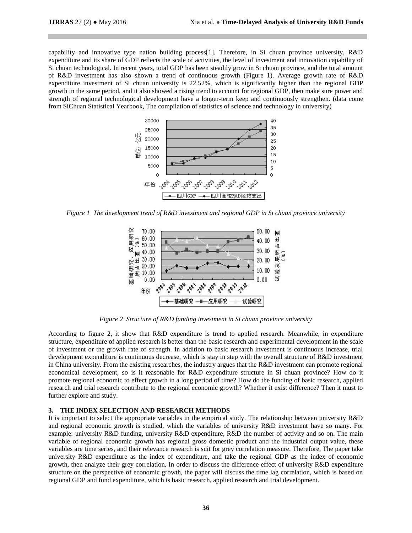capability and innovative type nation building process[1]. Therefore, in Si chuan province university, R&D expenditure and its share of GDP reflects the scale of activities, the level of investment and innovation capability of Si chuan technological. In recent years, total GDP has been steadily grow in Si chuan province, and the total amount of R&D investment has also shown a trend of continuous growth (Figure 1). Average growth rate of R&D expenditure investment of Si chuan university is 22.52%, which is significantly higher than the regional GDP growth in the same period, and it also showed a rising trend to account for regional GDP, then make sure power and strength of regional technological development have a longer-term keep and continuously strengthen. (data come from SiChuan Statistical Yearbook, The compilation of statistics of science and technology in university)



*Figure 1 The development trend of R&D investment and regional GDP in Si chuan province university*



*Figure 2 Structure of R&D funding investment in Si chuan province university*

According to figure 2, it show that R&D expenditure is trend to applied research. Meanwhile, in expenditure structure, expenditure of applied research is better than the basic research and experimental development in the scale of investment or the growth rate of strength. In addition to basic research investment is continuous increase, trial development expenditure is continuous decrease, which is stay in step with the overall structure of R&D investment in China university. From the existing researches, the industry argues that the R&D investment can promote regional economical development, so is it reasonable for R&D expenditure structure in Si chuan province? How do it promote regional economic to effect growth in a long period of time? How do the funding of basic research, applied research and trial research contribute to the regional economic growth? Whether it exist difference? Then it must to further explore and study.

### **3. THE INDEX SELECTION AND RESEARCH METHODS**

It is important to select the appropriate variables in the empirical study. The relationship between university R&D and regional economic growth is studied, which the variables of university R&D investment have so many. For example: university R&D funding, university R&D expenditure, R&D the number of activity and so on. The main variable of regional economic growth has regional gross domestic product and the industrial output value, these variables are time series, and their relevance research is suit for grey correlation measure. Therefore, The paper take university R&D expenditure as the index of expenditure, and take the regional GDP as the index of economic growth, then analyze their grey correlation. In order to discuss the difference effect of university R&D expenditure structure on the perspective of economic growth, the paper will discuss the time lag correlation, which is based on regional GDP and fund expenditure, which is basic research, applied research and trial development.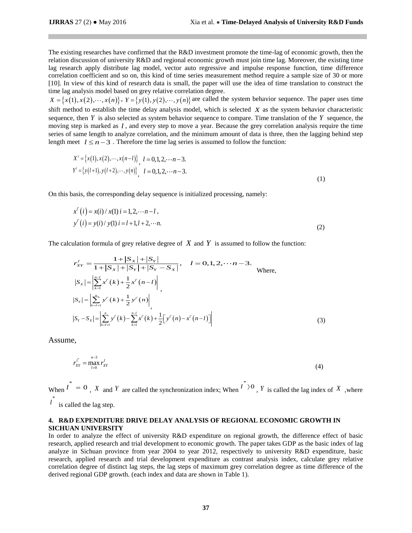The existing researches have confirmed that the R&D investment promote the time-lag of economic growth, then the relation discussion of university R&D and regional economic growth must join time lag. Moreover, the existing time lag research apply distribute lag model, vector auto regressive and impulse response function, time difference correlation coefficient and so on, this kind of time series measurement method require a sample size of 30 or more [10]. In view of this kind of research data is small, the paper will use the idea of time translation to construct the time lag analysis model based on grey relative correlation degree.

 $X = \{x(1), x(2), \dots, x(n)\}, Y = \{y(1), y(2), \dots, y(n)\}$  are called the system behavior sequence. The paper uses time shift method to establish the time delay analysis model, which is selected *X* as the system behavior characteristic sequence, then *Y* is also selected as system behavior sequence to compare. Time translation of the *Y* sequence, the moving step is marked as *l* , and every step to move a year. Because the grey correlation analysis require the time series of same length to analyze correlation, and the minimum amount of data is three, then the lagging behind step length meet  $l \leq n-3$ . Therefore the time lag series is assumed to follow the function:

$$
X' = \{x(1), x(2), \dots, x(n-l)\}, l = 0, 1, 2, \dots, n-3.
$$
  
\n
$$
Y' = \{y(l+1), y(l+2), \dots, y(n)\}, l = 0, 1, 2, \dots, n-3.
$$
\n(1)

On this basis, the corresponding delay sequence is initialized processing, namely:

$$
x^{l'}(i) = x(i) / x(1) i = 1, 2, \dots n - l,
$$
  
\n
$$
y^{l'}(i) = y(i) / y(1) i = l + 1, l + 2, \dots n.
$$
\n(2)

The calculation formula of grey relative degree of *X* and *Y* is assumed to follow the function:  
\n
$$
r'_{XY} = \frac{1 + |S_X| + |S_Y|}{1 + |S_X| + |S_Y| + |S_Y - S_X|}, \quad l = 0, 1, 2, \dots, n-3.
$$
\nWhere,  
\n
$$
|S_X| = \left| \sum_{k=1}^{n-1} x^{k'}(k) + \frac{1}{2} x^{k'}(n-l) \right|,
$$
\n
$$
|S_Y| = \left| \sum_{k=1+1}^{n} y^{k'}(k) + \frac{1}{2} y^{k'}(n) \right|,
$$
\n
$$
|S_Y - S_X| = \left| \sum_{k=1+1}^{n} y^{k'}(k) - \sum_{k=1}^{n-1} x^{k'}(k) + \frac{1}{2} [y^{k'}(n) - x^{k'}(n-l)] \right|
$$
\n(3)

Assume,

$$
r_{XY}^{l^*} = \max_{l=0}^{n-3} r_{XY}^l
$$
 (4)

When  $\iota^* = 0$ , *X* and *Y* are called the synchronization index; When  $\iota^*$  > 0, *Y* is called the lag index of *X*, where  $\iota^*$  is called the lag step.

# **4. R&D EXPENDITURE DRIVE DELAY ANALYSIS OF REGIONAL ECONOMIC GROWTH IN SICHUAN UNIVERSITY**

In order to analyze the effect of university R&D expenditure on regional growth, the difference effect of basic research, applied research and trial development to economic growth. The paper takes GDP as the basic index of lag analyze in Sichuan province from year 2004 to year 2012, respectively to university R&D expenditure, basic research, applied research and trial development expenditure as contrast analysis index, calculate grey relative correlation degree of distinct lag steps, the lag steps of maximum grey correlation degree as time difference of the derived regional GDP growth. (each index and data are shown in Table 1).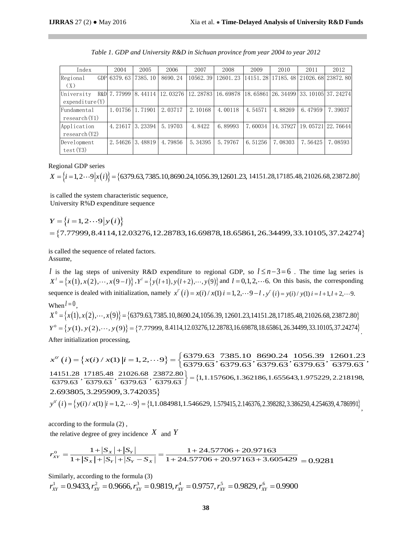| Index                        | 2004    | 2005                | 2006     | 2007     | 2008     | 2009     | 2010     | 2011                       | 2012                              |
|------------------------------|---------|---------------------|----------|----------|----------|----------|----------|----------------------------|-----------------------------------|
| Regional<br>GDP<br>(X)       | 6379.63 | 7385.10             | 8690.24  | 10562.39 | 12601.23 | 14151.28 |          | 17185.48 21026.68 23872.80 |                                   |
| University<br>expenditive(Y) |         | R&D 7.77999 8.44114 | 12.03276 | 12.28783 | 16.69878 | 18.65861 |          |                            | 26. 34499   33. 10105   37. 24274 |
| Fundamental<br>research(Y1)  | 1.01756 | 1.71901             | 2.03717  | 2.10168  | 4.00118  | 4.54571  | 4.88269  | 6.47959                    | 7.39037                           |
| Application<br>research (Y2) |         | 4.21617 3.23394     | 5.19703  | 4.8422   | 6.89993  | 7.60034  | 14.37927 | 19. 05721   22. 76644      |                                   |
| Development<br>test(Y3)      | 2.54626 | 3.48819             | 4.79856  | 5.34395  | 5.79767  | 6.51256  | 7.08303  | 7.56425                    | 7.08593                           |

|  |  | Table 1. GDP and University R&D in Sichuan province from year 2004 to year 2012 |  |  |  |  |  |  |  |  |  |  |
|--|--|---------------------------------------------------------------------------------|--|--|--|--|--|--|--|--|--|--|
|--|--|---------------------------------------------------------------------------------|--|--|--|--|--|--|--|--|--|--|

Regional GDP series

 $X = \{i = 1, 2 \cdots 9 | x(i) \} = \{6379.63, 7385.10, 8690.24, 1056.39, 12601.23, 14151.28, 17185.48, 21026.68, 23872.80\}$ 

is called the system characteristic sequence, University R%D expenditure sequence

 $Y = \{i = 1, 2 \cdots 9 | y(i) \}$  $=$  {7.77999, 8.4114, 12.03276, 12.28783, 16.69878, 18.65861, 26.34499, 33.10105, 37.24274}

is called the sequence of related factors. Assume,

*l* is the lag steps of university R&D expenditure to regional GDP, so  $l \leq n-3=6$ . The time lag series is *x*<sup>*l*</sup> = { $x(1), x(2), \dots, x(9-l)$ },  $Y' = \{y(l+1), y(l+2), \dots, y(9)\}$  and  $l = 0, 1, 2, \dots$  6. On this basis, the corresponding sequence is dealed with initialization, namely  $x^{i'}(i) = x(i)/x(1)$   $i = 1, 2, \dots 9$  $\int_l^l (i) = x(i) / x(1) i = 1, 2, \dots 9 - l, y$  $x^{i'}(i) = x(i) / x(1) i = 1, 2, \cdots 9 - l$ ,  $y^{i'}(i) = y(i) / y(1) i = l + 1, l + 2, \cdots 9$ .  $y''(i) = y(i) / y(1) i = l + 1, l + 2, ...$  $When l = 0,$ When  $l = 0$ ,<br>When  $l = 0$ ,<br> $X^0 = \{x(1), x(2), \dots, x(9)\} = \{6379.63, 7385.10, 8690.24, 1056.39, 12601.23, 14151.28, 17185.48, 21026.68, 23872.80\}$  $X^3 = {x(1), x(2), \dots, x(9)} = {6379.63, 7385.10, 8690.24, 1056.39, 12601.23, 14151.28, 17185.48, 21026.68, 23872.80}$ <br>  $Y^0 = {y(1), y(2), \dots, y(9)} = {7.77999, 8.4114, 12.03276, 12.28783, 16.69878, 18.65861, 26.34499, 33.10105, 37.24274}$ After initialization processing,

 $(i) = {x(i) / x(1) | i = 1, 2, \dots 9}$  $\begin{aligned} \n\mathcal{L}^{\text{S}} &= \{x(1), x(2), \cdots, x(9)\} = \{03/9.63, 7385.10, 8690.24, 1050.39, 12601.23, 14151.28, 17185.48, 21026.68, 23872.80\} \n\end{aligned}$   $\begin{aligned} \n\mathcal{L}^{\text{S}} &= \{y(1), y(2), \cdots, y(9)\} = \{7.77999, 8.4114, 12.03276, 12.2878$  $\int (i) = \int x(i) / x(1) |i - 1, 2, ... 9) = \int$  $X^0 = \{y(1), y(2), \dots, y(9)\} = \{7.77999, 8.4114, 12.03276, 12.287, 12.287, 12.287, 12.287, 12.287, 12.287, 12.287, 12.287, 12.287, 12.287, 12.287, 12.287, 12.287, 12.287, 12.287, 12.287, 12.28, 12.28, 12.28, 12.28, 12.28, 12.28$  $\{1,$ After initialization processing,<br>  $x^{\circ'}(i) = \{x(i) / x(1) | i = 1, 2, \dots 9\} = \begin{cases} \frac{6379.63}{6379.63}, \frac{7385.10}{6379.63}, \frac{8690.24}{6379.63}, \frac{1056.39}{6379.63}, \frac{12601.23}{6379.63} \end{cases}$ <br>  $= \{1, 1.157606, 1.362186, 1.655643, 1.975$  $\bigg\} =$ 2.693805,3.295909,3.742035  $0^{0'}(i) = \{y(i) / x(1) | i = 1, 2, \cdots 9\} = \{1, 2, \cdots 9\}$  $y(i) / x(1) | i = 1,2, \cdots 9$  = {1,1.084981,1.546629, ľ 2.693805, 3.295909, 3.742035}<br> $y^{\circ}(i) = {y(i) / x(1) | i = 1, 2, \cdots 9} = {1, 1.084981, 1.546629, 1.579415, 2.146376, 2.398282, 3.386250, 4.254639, 4.786991}$ ,

according to the formula (2) ,

the relative degree of grey incidence  $X$  and  $Y$ 

according to the formula (2),  
\nthe relative degree of grey incidence X and Y  
\n
$$
r_{XY}^0 = \frac{1+|S_X|+|S_Y|}{1+|S_X|+|S_Y|+|S_Y-S_X|} = \frac{1+24.57706+20.97163}{1+24.57706+20.97163+3.605429} = 0.9281
$$

Similarly, according to the formula (3)

imilarly, according to the formula (3)<br>  $\frac{1}{2}$   $\frac{1}{2}$  = 0.9433,  $r_{xy}^2$  = 0.9666,  $r_{xy}^3$  = 0.9819,  $r_{xy}^4$  = 0.9757,  $r_{yy}^5$  = 0.9829,  $r_{xy}^6$  $r_{XY}^{0} = \frac{1}{1+|S_X|+|S_Y|+|S_Y-S_X|} = \frac{1}{1+24.57706+20.97163+3.605429} = 0$ <br>
Similarly, according to the formula (3)<br>  $r_{XY}^1 = 0.9433, r_{XY}^2 = 0.9666, r_{XY}^3 = 0.9819, r_{XY}^4 = 0.9757, r_{XY}^5 = 0.9829, r_{XY}^6 = 0.9900$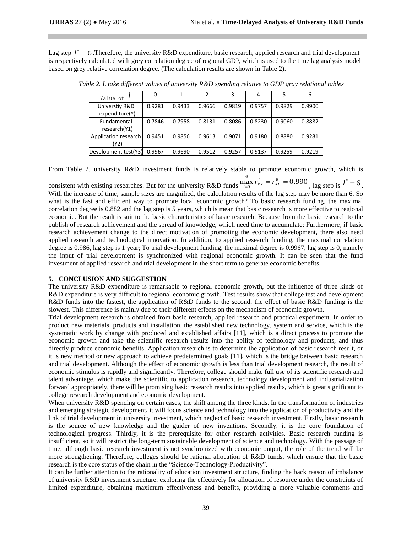Lag step  $l^* = 6$ . Therefore, the university R&D expenditure, basic research, applied research and trial development is respectively calculated with grey correlation degree of regional GDP, which is used to the time lag analysis model based on grey relative correlation degree. (The calculation results are shown in Table 2).

| Value of $\ell$      |        |        |        | 3      | 4      | 5      | 6      |
|----------------------|--------|--------|--------|--------|--------|--------|--------|
| Universtiy R&D       | 0.9281 | 0.9433 | 0.9666 | 0.9819 | 0.9757 | 0.9829 | 0.9900 |
| expenditure(Y)       |        |        |        |        |        |        |        |
| Fundamental          | 0.7846 | 0.7958 | 0.8131 | 0.8086 | 0.8230 | 0.9060 | 0.8882 |
| research(Y1)         |        |        |        |        |        |        |        |
| Application research | 0.9451 | 0.9856 | 0.9613 | 0.9071 | 0.9180 | 0.8880 | 0.9281 |
| (Y2)                 |        |        |        |        |        |        |        |
| Development test(Y3) | 0.9967 | 0.9690 | 0.9512 | 0.9257 | 0.9137 | 0.9259 | 0.9219 |

*Table 2. L take different values of university R&D spending relative to GDP gray relational tables*

From Table 2, university R&D investment funds is relatively stable to promote economic growth, which is

consistent with existing researches. But for the university R&D funds  $\int_{0}^{6}$   $\mathbf{r}^{l}$  =  $\mathbf{r}^{6}$  $\max_{l=0}^{6} r_{XY}^{l} = r_{XY}^{6} = 0.990$ , lag step is  $l^* = 6$ . With the increase of time, sample sizes are magnified, the calculation results of the lag step may be more than 6. So what is the fast and efficient way to promote local economic growth? To basic research funding, the maximal correlation degree is 0.882 and the lag step is 5 years, which is mean that basic research is more effective to regional economic. But the result is suit to the basic characteristics of basic research. Because from the basic research to the publish of research achievement and the spread of knowledge, which need time to accumulate; Furthermore, if basic research achievement change to the direct motivation of promoting the economic development, there also need applied research and technological innovation. In addition, to applied research funding, the maximal correlation degree is 0.986, lag step is 1 year; To trial development funding, the maximal degree is 0.9967, lag step is 0, namely the input of trial development is synchronized with regional economic growth. It can be seen that the fund investment of applied research and trial development in the short term to generate economic benefits.

# **5. CONCLUSION AND SUGGESTION**

The university R&D expenditure is remarkable to regional economic growth, but the influence of three kinds of R&D expenditure is very difficult to regional economic growth. Test results show that college test and development R&D funds into the fastest, the application of R&D funds to the second, the effect of basic R&D funding is the slowest. This difference is mainly due to their different effects on the mechanism of economic growth.

Trial development research is obtained from basic research, applied research and practical experiment. In order to product new materials, products and installation, the established new technology, system and service, which is the systematic work by change with produced and established affairs [11], which is a direct process to promote the economic growth and take the scientific research results into the ability of technology and products, and thus directly produce economic benefits. Application research is to determine the application of basic research result, or it is new method or new approach to achieve predetermined goals [11], which is the bridge between basic research and trial development. Although the effect of economic growth is less than trial development research, the result of economic stimulus is rapidly and significantly. Therefore, college should make full use of its scientific research and talent advantage, which make the scientific to application research, technology development and industrialization forward appropriately, there will be promising basic research results into applied results, which is great significant to college research development and economic development.

When university R&D spending on certain cases, the shift among the three kinds. In the transformation of industries and emerging strategic development, it will focus science and technology into the application of productivity and the link of trial development in university investment, which neglect of basic research investment. Firstly, basic research is the source of new knowledge and the guider of new inventions. Secondly, it is the core foundation of technological progress. Thirdly, it is the prerequisite for other research activities. Basic research funding is insufficient, so it will restrict the long-term sustainable development of science and technology. With the passage of time, although basic research investment is not synchronized with economic output, the role of the trend will be more strengthening. Therefore, colleges should be rational allocation of R&D funds, which ensure that the basic research is the core status of the chain in the "Science-Technology-Productivity".

It can be further attention to the rationality of education investment structure, finding the back reason of imbalance of university R&D investment structure, exploring the effectively for allocation of resource under the constraints of limited expenditure, obtaining maximum effectiveness and benefits, providing a more valuable comments and